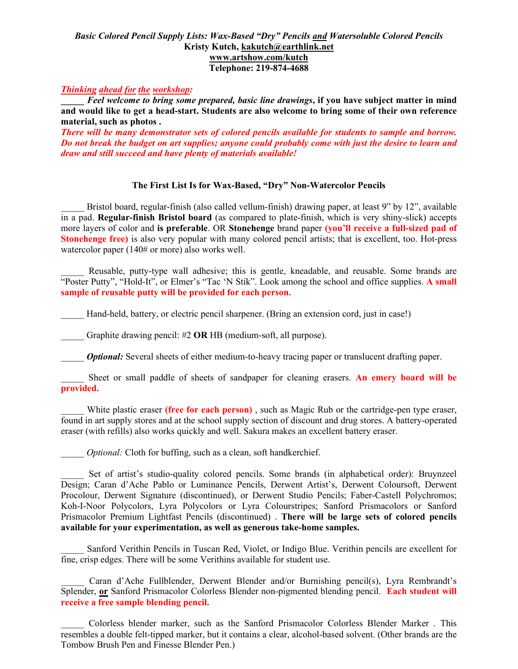## *Basic Colored Pencil Supply Lists: Wax-Based "Dry" Pencils and Watersoluble Colored Pencils* **Kristy Kutch, [kakutch@earthlink.net](mailto:kakutch@niia.net) [www.artshow.com/kutch](http://www.artshow.com/kutch) Telephone: 219-874-4688**

## *Thinking ahead for the workshop:*

**\_\_\_\_\_** *Feel welcome to bring some prepared, basic line drawings***, if you have subject matter in mind and would like to get a head-start. Students are also welcome to bring some of their own reference material, such as photos .**

*There will be many demonstrator sets of colored pencils available for students to sample and borrow. Do not break the budget on art supplies; anyone could probably come with just the desire to learn and draw and still succeed and have plenty of materials available!*

## **The First List Is for Wax-Based, "Dry" Non-Watercolor Pencils**

Bristol board, regular-finish (also called vellum-finish) drawing paper, at least 9" by 12", available in a pad. **Regular-finish Bristol board** (as compared to plate-finish, which is very shiny-slick) accepts more layers of color and **is preferable**. OR **Stonehenge** brand paper **(you'll receive a full-sized pad of Stonehenge free)** is also very popular with many colored pencil artists; that is excellent, too. Hot-press watercolor paper (140# or more) also works well.

Reusable, putty-type wall adhesive; this is gentle, kneadable, and reusable. Some brands are "Poster Putty", "Hold-It", or Elmer's "Tac 'N Stik". Look among the school and office supplies. **A small sample of reusable putty will be provided for each person.**

Hand-held, battery, or electric pencil sharpener. (Bring an extension cord, just in case!)

Graphite drawing pencil: #2 **OR** HB (medium-soft, all purpose).

*Optional:* Several sheets of either medium-to-heavy tracing paper or translucent drafting paper.

Sheet or small paddle of sheets of sandpaper for cleaning erasers. **An emery board will be provided.**

White plastic eraser **(free for each person)**, such as Magic Rub or the cartridge-pen type eraser, found in art supply stores and at the school supply section of discount and drug stores. A battery-operated eraser (with refills) also works quickly and well. Sakura makes an excellent battery eraser.

*Optional:* Cloth for buffing, such as a clean, soft handkerchief.

Set of artist's studio-quality colored pencils. Some brands (in alphabetical order): Bruynzeel Design; Caran d'Ache Pablo or Luminance Pencils, Derwent Artist's, Derwent Coloursoft, Derwent Procolour, Derwent Signature (discontinued), or Derwent Studio Pencils; Faber-Castell Polychromos; Koh-I-Noor Polycolors, Lyra Polycolors or Lyra Colourstripes; Sanford Prismacolors or Sanford Prismacolor Premium Lightfast Pencils (discontinued) . **There will be large sets of colored pencils available for your experimentation, as well as generous take-home samples.**

\_\_\_\_\_ Sanford Verithin Pencils in Tuscan Red, Violet, or Indigo Blue. Verithin pencils are excellent for fine, crisp edges. There will be some Verithins available for student use.

Caran d'Ache Fullblender, Derwent Blender and/or Burnishing pencil(s), Lyra Rembrandt's Splender, **or** Sanford Prismacolor Colorless Blender non-pigmented blending pencil. **Each student will receive a free sample blending pencil.**

\_\_\_\_\_ Colorless blender marker, such as the Sanford Prismacolor Colorless Blender Marker . This resembles a double felt-tipped marker, but it contains a clear, alcohol-based solvent. (Other brands are the Tombow Brush Pen and Finesse Blender Pen.)